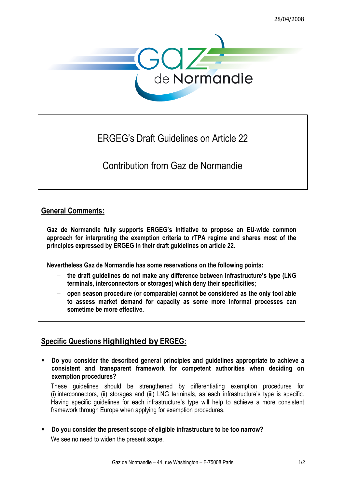

## ERGEG's Draft Guidelines on Article 22

Contribution from Gaz de Normandie

## General Comments:

Gaz de Normandie fully supports ERGEG's initiative to propose an EU-wide common approach for interpreting the exemption criteria to rTPA regime and shares most of the principles expressed by ERGEG in their draft guidelines on article 22.

Nevertheless Gaz de Normandie has some reservations on the following points:

- the draft guidelines do not make any difference between infrastructure's type (LNG terminals, interconnectors or storages) which deny their specificities;
- − open season procedure (or comparable) cannot be considered as the only tool able to assess market demand for capacity as some more informal processes can sometime be more effective.

## Specific Questions H**ighlighted by** ERGEG:

 Do you consider the described general principles and guidelines appropriate to achieve a consistent and transparent framework for competent authorities when deciding on exemption procedures?

These guidelines should be strengthened by differentiating exemption procedures for (i) interconnectors, (ii) storages and (iii) LNG terminals, as each infrastructure's type is specific. Having specific guidelines for each infrastructure's type will help to achieve a more consistent framework through Europe when applying for exemption procedures.

 Do you consider the present scope of eligible infrastructure to be too narrow? We see no need to widen the present scope.